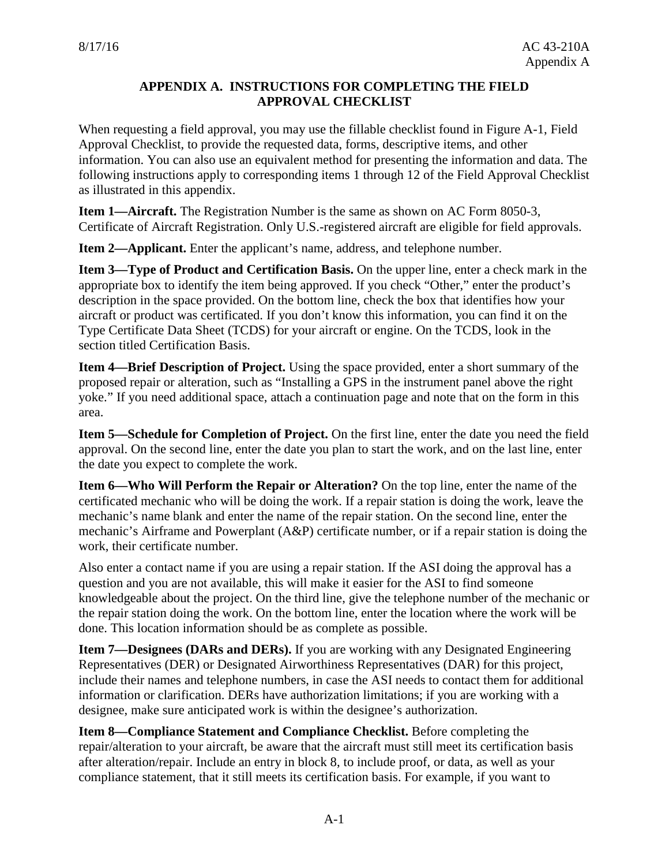## **APPENDIX A. INSTRUCTIONS FOR COMPLETING THE FIELD APPROVAL CHECKLIST**

When requesting a field approval, you may use the fillable checklist found in Figure A-1, Field Approval Checklist, to provide the requested data, forms, descriptive items, and other information. You can also use an equivalent method for presenting the information and data. The following instructions apply to corresponding items 1 through 12 of the Field Approval Checklist as illustrated in this appendix.

**Item 1—Aircraft.** The Registration Number is the same as shown on AC Form 8050-3, Certificate of Aircraft Registration. Only U.S.-registered aircraft are eligible for field approvals.

**Item 2—Applicant.** Enter the applicant's name, address, and telephone number.

**Item 3—Type of Product and Certification Basis.** On the upper line, enter a check mark in the appropriate box to identify the item being approved. If you check "Other," enter the product's description in the space provided. On the bottom line, check the box that identifies how your aircraft or product was certificated. If you don't know this information, you can find it on the Type Certificate Data Sheet (TCDS) for your aircraft or engine. On the TCDS, look in the section titled Certification Basis.

**Item 4—Brief Description of Project.** Using the space provided, enter a short summary of the proposed repair or alteration, such as "Installing a GPS in the instrument panel above the right yoke." If you need additional space, attach a continuation page and note that on the form in this area.

**Item 5—Schedule for Completion of Project.** On the first line, enter the date you need the field approval. On the second line, enter the date you plan to start the work, and on the last line, enter the date you expect to complete the work.

**Item 6—Who Will Perform the Repair or Alteration?** On the top line, enter the name of the certificated mechanic who will be doing the work. If a repair station is doing the work, leave the mechanic's name blank and enter the name of the repair station. On the second line, enter the mechanic's Airframe and Powerplant (A&P) certificate number, or if a repair station is doing the work, their certificate number.

Also enter a contact name if you are using a repair station. If the ASI doing the approval has a question and you are not available, this will make it easier for the ASI to find someone knowledgeable about the project. On the third line, give the telephone number of the mechanic or the repair station doing the work. On the bottom line, enter the location where the work will be done. This location information should be as complete as possible.

**Item 7—Designees (DARs and DERs).** If you are working with any Designated Engineering Representatives (DER) or Designated Airworthiness Representatives (DAR) for this project, include their names and telephone numbers, in case the ASI needs to contact them for additional information or clarification. DERs have authorization limitations; if you are working with a designee, make sure anticipated work is within the designee's authorization.

**Item 8—Compliance Statement and Compliance Checklist.** Before completing the repair/alteration to your aircraft, be aware that the aircraft must still meet its certification basis after alteration/repair. Include an entry in block 8, to include proof, or data, as well as your compliance statement, that it still meets its certification basis. For example, if you want to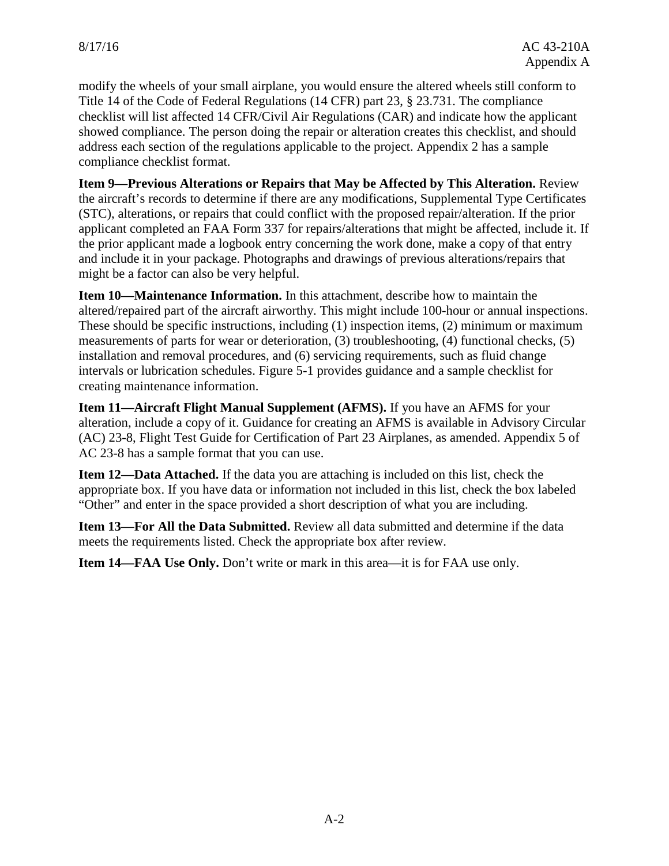modify the wheels of your small airplane, you would ensure the altered wheels still conform to Title 14 of the Code of Federal Regulations (14 CFR) part 23, § 23.731. The compliance checklist will list affected 14 CFR/Civil Air Regulations (CAR) and indicate how the applicant showed compliance. The person doing the repair or alteration creates this checklist, and should address each section of the regulations applicable to the project. Appendix 2 has a sample compliance checklist format.

**Item 9—Previous Alterations or Repairs that May be Affected by This Alteration.** Review the aircraft's records to determine if there are any modifications, Supplemental Type Certificates (STC), alterations, or repairs that could conflict with the proposed repair/alteration. If the prior applicant completed an FAA Form 337 for repairs/alterations that might be affected, include it. If the prior applicant made a logbook entry concerning the work done, make a copy of that entry and include it in your package. Photographs and drawings of previous alterations/repairs that might be a factor can also be very helpful.

**Item 10—Maintenance Information.** In this attachment, describe how to maintain the altered/repaired part of the aircraft airworthy. This might include 100-hour or annual inspections. These should be specific instructions, including (1) inspection items, (2) minimum or maximum measurements of parts for wear or deterioration, (3) troubleshooting, (4) functional checks, (5) installation and removal procedures, and (6) servicing requirements, such as fluid change intervals or lubrication schedules. Figure 5-1 provides guidance and a sample checklist for creating maintenance information.

**Item 11—Aircraft Flight Manual Supplement (AFMS).** If you have an AFMS for your alteration, include a copy of it. Guidance for creating an AFMS is available in Advisory Circular (AC) 23-8, Flight Test Guide for Certification of Part 23 Airplanes, as amended. Appendix 5 of AC 23-8 has a sample format that you can use.

**Item 12—Data Attached.** If the data you are attaching is included on this list, check the appropriate box. If you have data or information not included in this list, check the box labeled "Other" and enter in the space provided a short description of what you are including.

**Item 13—For All the Data Submitted.** Review all data submitted and determine if the data meets the requirements listed. Check the appropriate box after review.

**Item 14—FAA Use Only.** Don't write or mark in this area—it is for FAA use only.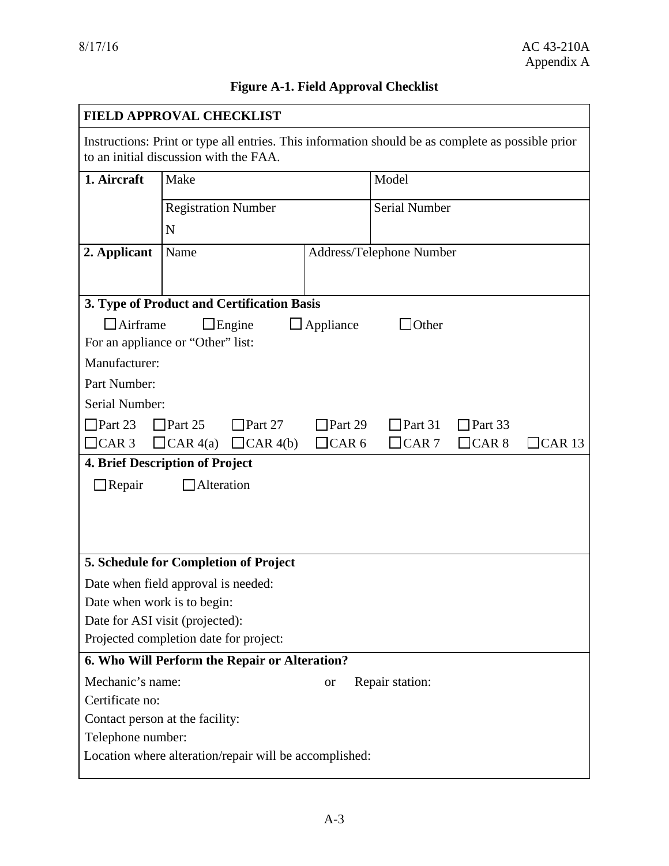## **Figure A-1. Field Approval Checklist**

| <b>FIELD APPROVAL CHECKLIST</b>                                                                                                             |                            |              |                          |       |               |  |
|---------------------------------------------------------------------------------------------------------------------------------------------|----------------------------|--------------|--------------------------|-------|---------------|--|
| Instructions: Print or type all entries. This information should be as complete as possible prior<br>to an initial discussion with the FAA. |                            |              |                          |       |               |  |
| 1. Aircraft                                                                                                                                 | Make                       |              | Model                    |       |               |  |
|                                                                                                                                             | <b>Registration Number</b> |              | Serial Number            |       |               |  |
|                                                                                                                                             | N                          |              |                          |       |               |  |
| 2. Applicant                                                                                                                                | Name                       |              | Address/Telephone Number |       |               |  |
|                                                                                                                                             |                            |              |                          |       |               |  |
| 3. Type of Product and Certification Basis                                                                                                  |                            |              |                          |       |               |  |
| $\Box$ Airframe<br>$\Box$ Engine<br>$\Box$ Appliance<br>10ther                                                                              |                            |              |                          |       |               |  |
| For an appliance or "Other" list:                                                                                                           |                            |              |                          |       |               |  |
| Manufacturer:                                                                                                                               |                            |              |                          |       |               |  |
| Part Number:                                                                                                                                |                            |              |                          |       |               |  |
| Serial Number:                                                                                                                              |                            |              |                          |       |               |  |
| $\Box$ Part 23<br>$\Box$ Part 25<br>$\Box$ Part 27<br>$\Box$ Part 29<br>$\Box$ Part 31<br>$\Box$ Part 33                                    |                            |              |                          |       |               |  |
| $\Box$ CAR 3                                                                                                                                | $CAR_{4(a)}$<br>CAR 4(b)   | $\Box$ CAR 6 | $\Box$ CAR 7             | CAR 8 | $\Box$ CAR 13 |  |
| <b>4. Brief Description of Project</b>                                                                                                      |                            |              |                          |       |               |  |
| $\Box$ Repair<br>Alteration                                                                                                                 |                            |              |                          |       |               |  |
|                                                                                                                                             |                            |              |                          |       |               |  |
|                                                                                                                                             |                            |              |                          |       |               |  |
| 5. Schedule for Completion of Project                                                                                                       |                            |              |                          |       |               |  |
|                                                                                                                                             |                            |              |                          |       |               |  |
| Date when field approval is needed:<br>Date when work is to begin:                                                                          |                            |              |                          |       |               |  |
| Date for ASI visit (projected):                                                                                                             |                            |              |                          |       |               |  |
| Projected completion date for project:                                                                                                      |                            |              |                          |       |               |  |
| 6. Who Will Perform the Repair or Alteration?                                                                                               |                            |              |                          |       |               |  |
| Mechanic's name:                                                                                                                            |                            | <b>or</b>    | Repair station:          |       |               |  |
| Certificate no:                                                                                                                             |                            |              |                          |       |               |  |
| Contact person at the facility:                                                                                                             |                            |              |                          |       |               |  |
| Telephone number:                                                                                                                           |                            |              |                          |       |               |  |
| Location where alteration/repair will be accomplished:                                                                                      |                            |              |                          |       |               |  |
|                                                                                                                                             |                            |              |                          |       |               |  |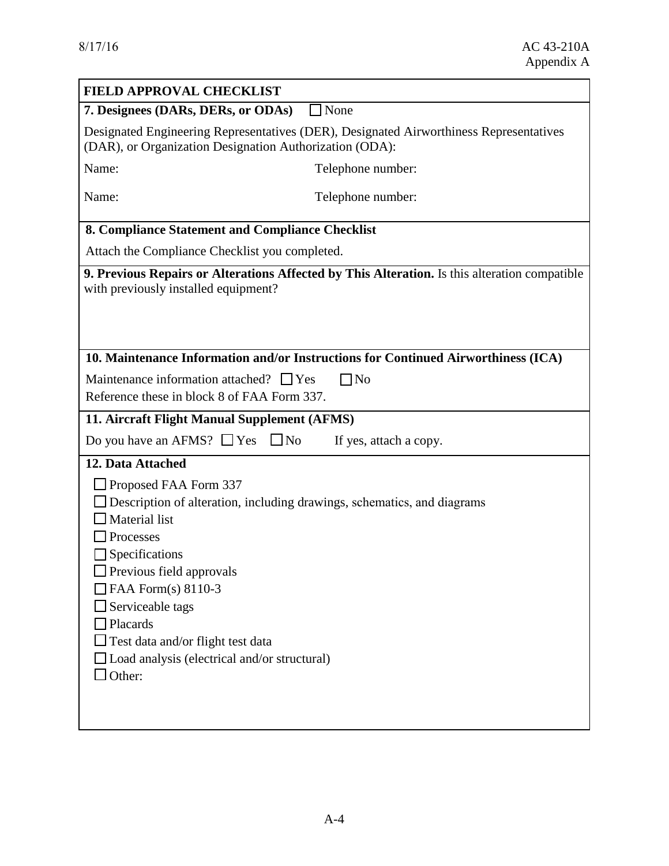| <b>FIELD APPROVAL CHECKLIST</b>                                                                                                                                                                                                                                                    |                                                                                               |  |  |  |  |
|------------------------------------------------------------------------------------------------------------------------------------------------------------------------------------------------------------------------------------------------------------------------------------|-----------------------------------------------------------------------------------------------|--|--|--|--|
| $\Box$ None<br>7. Designees (DARs, DERs, or ODAs)                                                                                                                                                                                                                                  |                                                                                               |  |  |  |  |
| Designated Engineering Representatives (DER), Designated Airworthiness Representatives<br>(DAR), or Organization Designation Authorization (ODA):                                                                                                                                  |                                                                                               |  |  |  |  |
| Name:                                                                                                                                                                                                                                                                              | Telephone number:                                                                             |  |  |  |  |
| Name:                                                                                                                                                                                                                                                                              | Telephone number:                                                                             |  |  |  |  |
| 8. Compliance Statement and Compliance Checklist                                                                                                                                                                                                                                   |                                                                                               |  |  |  |  |
| Attach the Compliance Checklist you completed.                                                                                                                                                                                                                                     |                                                                                               |  |  |  |  |
| with previously installed equipment?                                                                                                                                                                                                                                               | 9. Previous Repairs or Alterations Affected by This Alteration. Is this alteration compatible |  |  |  |  |
| 10. Maintenance Information and/or Instructions for Continued Airworthiness (ICA)                                                                                                                                                                                                  |                                                                                               |  |  |  |  |
| $\Box$ No<br>Maintenance information attached? $\Box$ Yes<br>Reference these in block 8 of FAA Form 337.                                                                                                                                                                           |                                                                                               |  |  |  |  |
| 11. Aircraft Flight Manual Supplement (AFMS)                                                                                                                                                                                                                                       |                                                                                               |  |  |  |  |
| Do you have an AFMS? $\Box$ Yes                                                                                                                                                                                                                                                    | $\Box$ No<br>If yes, attach a copy.                                                           |  |  |  |  |
| 12. Data Attached                                                                                                                                                                                                                                                                  |                                                                                               |  |  |  |  |
| $\Box$ Proposed FAA Form 337<br>Material list<br>Processes<br>Specifications<br>$\Box$ Previous field approvals<br>$\Box$ FAA Form(s) 8110-3<br>Serviceable tags<br>Placards<br>$\Box$ Test data and/or flight test data<br>Load analysis (electrical and/or structural)<br>Other: | Description of alteration, including drawings, schematics, and diagrams                       |  |  |  |  |
|                                                                                                                                                                                                                                                                                    |                                                                                               |  |  |  |  |